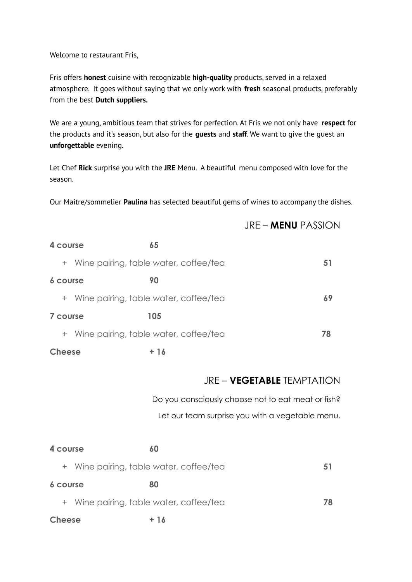Welcome to restaurant Fris,

Fris offers **honest** cuisine with recognizable **high-quality** products, served in a relaxed atmosphere. It goes without saying that we only work with **fresh** seasonal products, preferably from the best **Dutch suppliers.**

We are a young, ambitious team that strives for perfection. At Fris we not only have **respect** for the products and it's season, but also for the **guests** and **staff**. We want to give the guest an **unforgettable** evening.

Let Chef **Rick** surprise you with the **JRE** Menu. A beautiful menu composed with love for the season.

Our Maître/sommelier **Paulina** has selected beautiful gems of wines to accompany the dishes.

## JRE – **MENU** PASSION

| 4 course      | 65                                      |     |
|---------------|-----------------------------------------|-----|
|               | + Wine pairing, table water, coffee/tea | ו כ |
| 6 course      | 90                                      |     |
|               | + Wine pairing, table water, coffee/tea | 69  |
| 7 course      | 105                                     |     |
|               | + Wine pairing, table water, coffee/tea | 78  |
| <b>Cheese</b> | + 16                                    |     |

## JRE – **VEGETABLE** TEMPTATION

Do you consciously choose not to eat meat or fish? Let our team surprise you with a vegetable menu.

| 4 course                                | 60   |    |
|-----------------------------------------|------|----|
| + Wine pairing, table water, coffee/tea |      | 51 |
| 6 course                                | 80   |    |
| + Wine pairing, table water, coffee/tea |      | 78 |
| <b>Cheese</b>                           | + 16 |    |